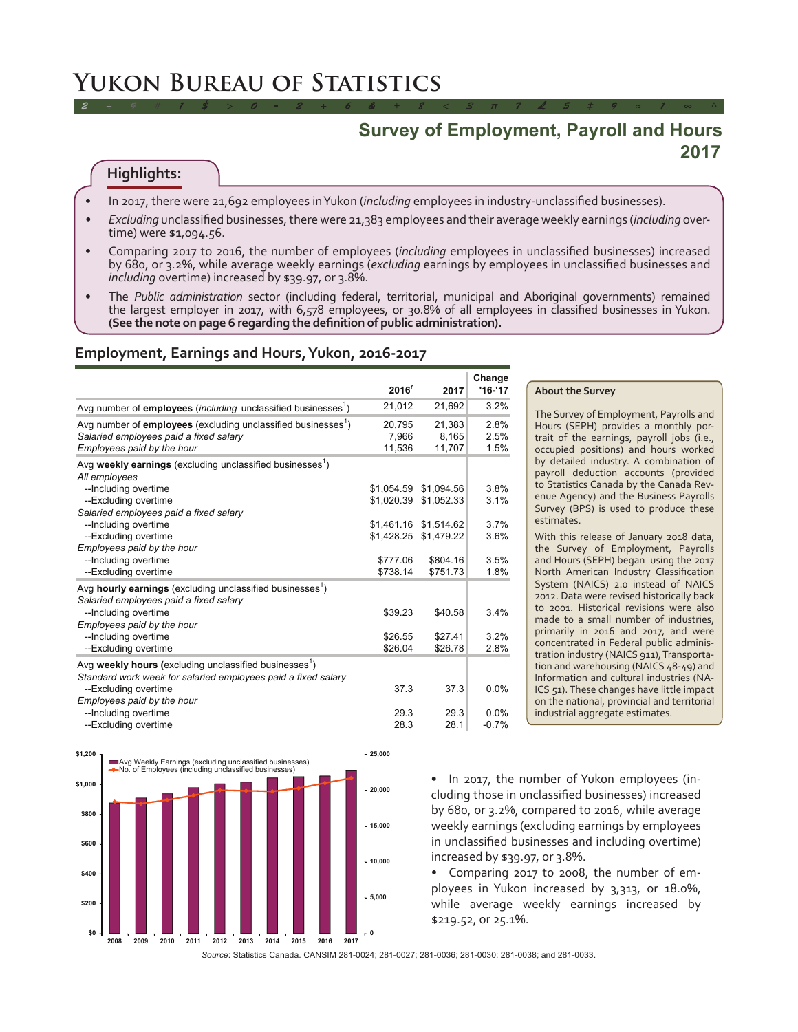# **Yukon Bureau of Statistics**

# **Survey of Employment, Payroll and Hours 2017**

# **Highlights:**

- In 2017, there were 21,692 employees in Yukon (*including* employees in industry-unclassified businesses).
- Excluding unclassified businesses, there were 21,383 employees and their average weekly earnings (*including* overtime) were \$1,094.56.

*2 ÷ 9 # 1 \$ > 0 - 2 + 6 & ± 8 < 3 π 7 £ 5 ‡ 9 ≈ 1 ∞ ^*

- Comparing 2017 to 2016, the number of employees (*including* employees in unclassified businesses) increased by 680, or 3.2%, while average weekly earnings (*excluding* earnings by employees in unclassified businesses and *including* overtime) increased by \$39.97, or 3.8%.
- The Public administration sector (including federal, territorial, municipal and Aboriginal governments) remained the largest employer in 2017, with 6,578 employees, or 30.8% of all employees in classified businesses in Yukon. **(See the note on page 6 regarding the definition of public administration).**

#### **Employment, Earnings and Hours, Yukon, 2016-2017**

|                                                                           |                   |            | Change    |
|---------------------------------------------------------------------------|-------------------|------------|-----------|
|                                                                           | 2016 <sup>r</sup> | 2017       | $'16-'17$ |
| Avg number of employees (including unclassified businesses <sup>1</sup> ) | 21,012            | 21,692     | 3.2%      |
| Avg number of employees (excluding unclassified businesses <sup>1</sup> ) | 20,795            | 21,383     | 2.8%      |
| Salaried employees paid a fixed salary                                    | 7,966             | 8,165      | 2.5%      |
| Employees paid by the hour                                                | 11,536            | 11,707     | 1.5%      |
| Avg weekly earnings (excluding unclassified businesses <sup>1</sup> )     |                   |            |           |
| All employees                                                             |                   |            |           |
| --Including overtime                                                      | \$1,054.59        | \$1,094.56 | 3.8%      |
| --Excluding overtime                                                      | \$1,020.39        | \$1,052.33 | 3.1%      |
| Salaried employees paid a fixed salary                                    |                   |            |           |
| --Including overtime                                                      | \$1,461.16        | \$1,514.62 | 3.7%      |
| --Excluding overtime                                                      | \$1,428.25        | \$1,479.22 | 3.6%      |
| Employees paid by the hour                                                |                   |            |           |
| --Including overtime                                                      | \$777.06          | \$804.16   | 3.5%      |
| --Excluding overtime                                                      | \$738.14          | \$751.73   | 1.8%      |
| Avg hourly earnings (excluding unclassified businesses <sup>1</sup> )     |                   |            |           |
| Salaried employees paid a fixed salary                                    |                   |            |           |
| --Including overtime                                                      | \$39.23           | \$40.58    | 3.4%      |
| Employees paid by the hour                                                |                   |            |           |
| --Including overtime                                                      | \$26.55           | \$27.41    | 3.2%      |
| --Excluding overtime                                                      | \$26.04           | \$26.78    | 2.8%      |
| Avg weekly hours (excluding unclassified businesses <sup>1</sup> )        |                   |            |           |
| Standard work week for salaried employees paid a fixed salary             |                   |            |           |
| --Excluding overtime                                                      | 37.3              | 37.3       | 0.0%      |
| Employees paid by the hour                                                |                   |            |           |
| --Including overtime                                                      | 29.3              | 29.3       | 0.0%      |
| --Excluding overtime                                                      | 28.3              | 28.1       | $-0.7%$   |



#### **About the Survey**

The Survey of Employment, Payrolls and Hours (SEPH) provides a monthly portrait of the earnings, payroll jobs (i.e., occupied positions) and hours worked by detailed industry. A combination of payroll deduction accounts (provided to Statistics Canada by the Canada Revenue Agency) and the Business Payrolls Survey (BPS) is used to produce these estimates.

With this release of January 2018 data, the Survey of Employment, Payrolls and Hours (SEPH) began using the 2017 North American Industry Classification System (NAICS) 2.0 instead of NAICS 2012. Data were revised historically back to 2001. Historical revisions were also made to a small number of industries, primarily in 2016 and 2017, and were concentrated in Federal public administration industry (NAICS 911), Transportation and warehousing (NAICS 48-49) and Information and cultural industries (NA-ICS 51). These changes have little impact on the national, provincial and territorial industrial aggregate estimates.

• In 2017, the number of Yukon employees (including those in unclassified businesses) increased by 680, or 3.2%, compared to 2016, while average weekly earnings (excluding earnings by employees in unclassified businesses and including overtime) increased by \$39.97, or 3.8%.

Comparing 2017 to 2008, the number of employees in Yukon increased by 3,313, or 18.0%, while average weekly earnings increased by \$219.52, or 25.1%.

*Source*: Statistics Canada. CANSIM 281-0024; 281-0027; 281-0036; 281-0030; 281-0038; and 281-0033.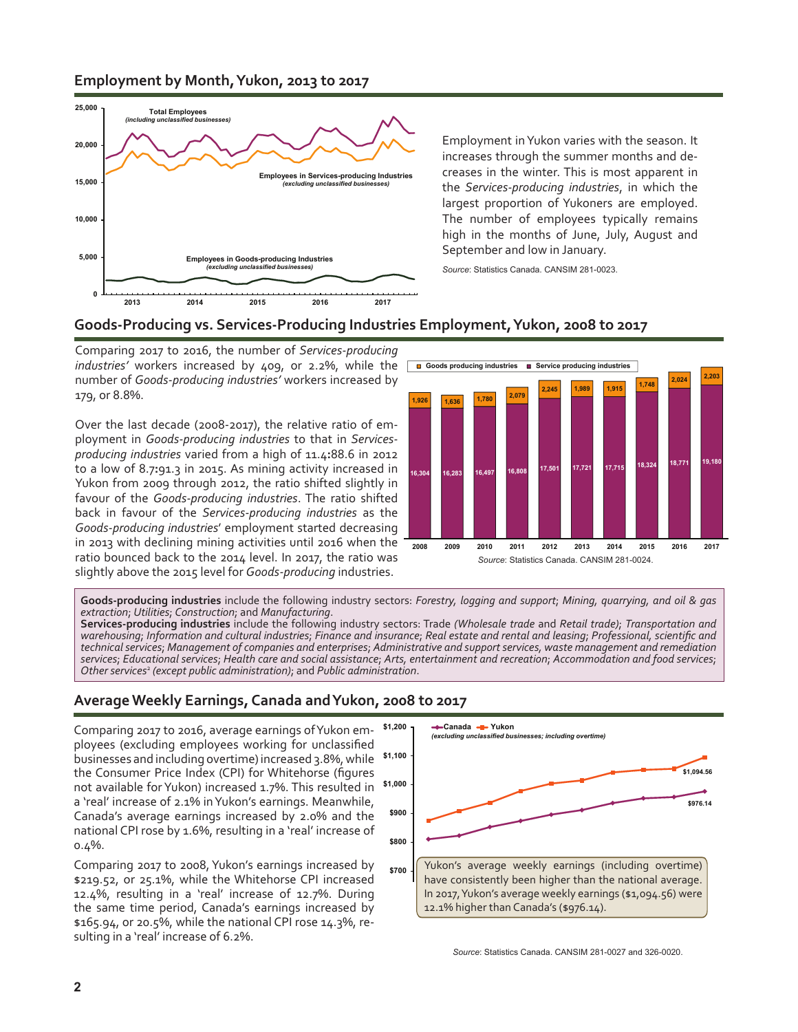# **Employment by Month, Yukon, 2013 to 2017**



Employment in Yukon varies with the season. It increases through the summer months and decreases in the winter. This is most apparent in the *Services-producing industries*, in which the largest proportion of Yukoners are employed. The number of employees typically remains high in the months of June, July, August and September and low in January.

*Source*: Statistics Canada. CANSIM 281-0023.



Comparing 2017 to 2016, the number of *Services-producing* industries' workers increased by 409, or 2.2%, while the **a** Goods producing industries **a** Service producing industries number of *Goods-producing industries'* workers increased by 179, or 8.8%.

Over the last decade (2008-2017), the relative ratio of employment in *Goods-producing industries* to that in *Servicesproducing industries* varied from a high of 11.4**:**88.6 in 2012 to a low of 8.7**:**91.3 in 2015. As mining activity increased in Yukon from 2009 through 2012, the ratio shifted slightly in favour of the *Goods-producing industries*. The ratio shifted back in favour of the *Services-producing industries* as the *Goods-producing industries*' employment started decreasing in 2013 with declining mining activities until 2016 when the ratio bounced back to the 2014 level. In 2017, the ratio was slightly above the 2015 level for *Goods-producing* industries.



**Goods-producing industries** include the following industry sectors: *Forestry, logging and support*; *Mining, quarrying, and oil & gas extraction*; *Utilities*; *Construction*; and *Manufacturing*.

**Services-producing industries** include the following industry sectors: Trade *(Wholesale trade* and *Retail trade)*; *Transportation and* warehousing; Information and cultural industries; Finance and insurance; Real estate and rental and leasing; Professional, scientific and *technicalservices*; *Management of companies and enterprises*; *Administrative and supportservices, waste management and remediation* services; Educational services; Health care and social assistance; Arts, entertainment and recreation; Accommodation and food services; *Other services*<sup>2</sup> *(except public administration)*; and *Public administration*.

# **Average Weekly Earnings, Canada and Yukon, 2008 to 2017**

Comparing 2017 to 2016, average earnings of Yukon employees (excluding employees working for unclassified businesses and including overtime) increased 3.8%, while the Consumer Price Index (CPI) for Whitehorse (figures not available for Yukon) increased 1.7%. This resulted in **\$1,000** a 'real' increase of 2.1% inYukon's earnings. Meanwhile, Canada's average earnings increased by 2.0% and the national CPI rose by 1.6%, resulting in a 'real' increase of 0.4%.

Comparing 2017 to 2008, Yukon's earnings increased by \$219.52, or 25.1%, while the Whitehorse CPI increased 12.4%, resulting in a 'real' increase of 12.7%. During the same time period, Canada's earnings increased by \$165.94, or 20.5%, while the national CPI rose 14.3%, resulting in a 'real' increase of 6.2%.



*Source*: Statistics Canada. CANSIM 281-0027 and 326-0020.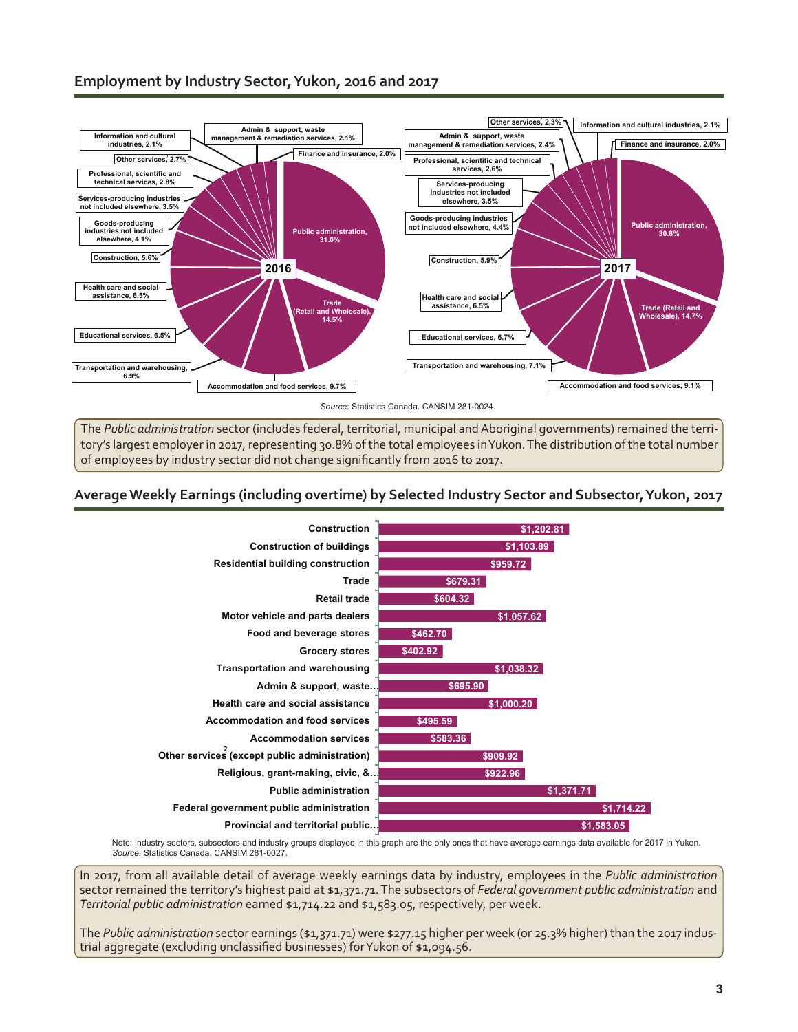

The *Public administration* sector (includes federal, territorial, municipal and Aboriginal governments) remained the territory's largest employer in 2017, representing 30.8% of the total employees inYukon.The distribution of the total number of employees by industry sector did not change significantly from 2016 to 2017.

# **Average Weekly Earnings (including overtime) by Selected Industry Sector and Subsector, Yukon, 2017**



Note: Industry sectors, subsectors and industry groups displayed in this graph are the only ones that have average earnings data available for 2017 in Yukon. *Source*: Statistics Canada. CANSIM 281-0027.

In 2017, from all available detail of average weekly earnings data by industry, employees in the *Public administration* sector remained the territory's highest paid at \$1,371.71.The subsectors of *Federal government public administration* and *Territorial public administration* earned \$1,714.22 and \$1,583.05, respectively, per week.

The *Public administration* sector earnings (\$1,371.71) were \$277.15 higher per week (or 25.3% higher) than the 2017 industrial aggregate (excluding unclassified businesses) forYukon of \$1,094.56.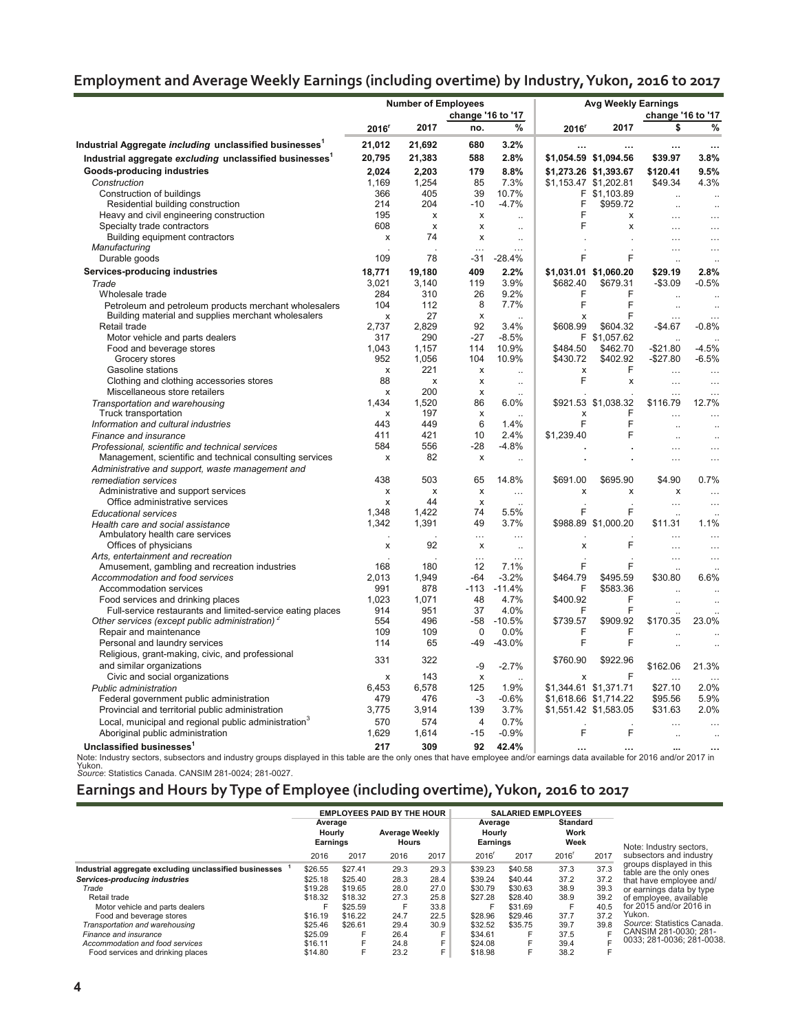# **Employment and Average Weekly Earnings (including overtime) by Industry, Yukon, 2016 to 2017**

|                                                                                             |                           | <b>Number of Employees</b> |                         |                              | <b>Avg Weekly Earnings</b> |                       |                      |                      |  |
|---------------------------------------------------------------------------------------------|---------------------------|----------------------------|-------------------------|------------------------------|----------------------------|-----------------------|----------------------|----------------------|--|
|                                                                                             | change '16 to '17         |                            |                         |                              |                            | change '16 to '17     |                      |                      |  |
|                                                                                             | 2016 <sup>r</sup>         | 2017                       | no.                     | %                            | 2016 <sup>r</sup>          | 2017                  | \$                   | %                    |  |
| Industrial Aggregate <i>including</i> unclassified businesses $^{\text{\tiny{\textsf{1}}}}$ | 21,012                    | 21,692                     | 680                     | 3.2%                         |                            |                       |                      | $\ddotsc$            |  |
| Industrial aggregate excluding unclassified businesses <sup>1</sup>                         | 20,795                    | 21,383                     | 588                     | 2.8%                         |                            | \$1,054.59 \$1,094.56 | \$39.97              | 3.8%                 |  |
| Goods-producing industries                                                                  | 2,024                     | 2.203                      | 179                     | 8.8%                         |                            | \$1,273.26 \$1,393.67 | \$120.41             | 9.5%                 |  |
| Construction                                                                                | 1,169                     | 1,254                      | 85                      | 7.3%                         |                            | \$1,153.47 \$1,202.81 | \$49.34              | 4.3%                 |  |
| Construction of buildings                                                                   | 366                       | 405                        | 39                      | 10.7%                        |                            | F \$1,103.89          |                      |                      |  |
| Residential building construction                                                           | 214                       | 204                        | $-10$                   | $-4.7%$                      | F                          | \$959.72              |                      |                      |  |
| Heavy and civil engineering construction                                                    | 195                       | X                          | x                       | $\ddot{\phantom{a}}$         | F                          | X                     | $\sim$               | $\ddotsc$            |  |
| Specialty trade contractors                                                                 | 608                       | $\boldsymbol{\mathsf{x}}$  | x                       | $\ddot{\phantom{a}}$         | F                          | x                     | $\cdots$             | $\cdots$             |  |
| Building equipment contractors                                                              | $\boldsymbol{\mathsf{x}}$ | 74                         | x                       | $\ddot{\phantom{0}}$         |                            |                       | $\ddotsc$            | $\ddotsc$            |  |
| Manufacturing                                                                               |                           |                            | $\cdots$                | $\cdots$                     |                            |                       | $\cdots$             |                      |  |
| Durable goods                                                                               | 109                       | 78                         | -31                     | $-28.4%$                     | F                          | F                     | $\ddotsc$            | $\ddot{\phantom{a}}$ |  |
| Services-producing industries                                                               | 18.771                    | 19,180                     | 409                     | 2.2%                         |                            | \$1,031.01 \$1,060.20 | \$29.19              | 2.8%                 |  |
| Trade                                                                                       | 3,021                     | 3.140                      | 119                     | 3.9%                         | \$682.40                   | \$679.31              | $-$3.09$             | $-0.5%$              |  |
| Wholesale trade                                                                             | 284                       | 310                        | 26                      | 9.2%                         | F                          | F                     | $\ddot{\phantom{a}}$ |                      |  |
| Petroleum and petroleum products merchant wholesalers                                       | 104                       | 112                        | 8                       | 7.7%                         | F                          | F                     | $\ddotsc$            |                      |  |
| Building material and supplies merchant wholesalers                                         | X                         | 27                         | X                       | $\ddotsc$                    | x                          | F                     | $\cdots$             | $\ddotsc$            |  |
| Retail trade                                                                                | 2,737                     | 2,829                      | 92                      | 3.4%                         | \$608.99                   | \$604.32              | $-$4.67$             | $-0.8%$              |  |
| Motor vehicle and parts dealers                                                             | 317                       | 290                        | $-27$                   | $-8.5%$                      |                            | F \$1,057.62          |                      |                      |  |
| Food and beverage stores                                                                    | 1.043                     | 1.157                      | 114                     | 10.9%                        | \$484.50                   | \$462.70              | $-$21.80$            | $-4.5%$              |  |
| Grocery stores                                                                              | 952                       | 1,056                      | 104                     | 10.9%                        | \$430.72                   | \$402.92              | $-$27.80$            | $-6.5%$              |  |
| Gasoline stations                                                                           | х                         | 221                        | х                       | $\ddot{\phantom{a}}$         | x                          | F                     | $\ddotsc$            | $\ddotsc$            |  |
| Clothing and clothing accessories stores                                                    | 88                        | x                          | x                       | $\ddot{\phantom{a}}$         | F                          | $\pmb{\times}$        | $\ldots$             | $\ddotsc$            |  |
| Miscellaneous store retailers                                                               | X                         | 200                        | x                       | $\sim$                       |                            |                       | $\cdots$             | $\cdots$             |  |
| Transportation and warehousing                                                              | 1,434                     | 1,520                      | 86                      | 6.0%                         |                            | \$921.53 \$1,038.32   | \$116.79             | 12.7%                |  |
| Truck transportation                                                                        | х<br>443                  | 197<br>449                 | x                       | $\ddotsc$                    | x<br>F                     | F<br>F                | $\ddotsc$            | $\ddotsc$            |  |
| Information and cultural industries                                                         |                           |                            | 6                       | 1.4%                         |                            | F                     |                      |                      |  |
| Finance and insurance                                                                       | 411<br>584                | 421<br>556                 | 10<br>$-28$             | 2.4%                         | \$1,239.40                 |                       |                      | $\ddot{\phantom{a}}$ |  |
| Professional, scientific and technical services                                             | X                         | 82                         |                         | $-4.8%$                      |                            |                       | $\ddotsc$            |                      |  |
| Management, scientific and technical consulting services                                    |                           |                            | X                       | $\ddotsc$                    |                            |                       | $\cdots$             | $\ddotsc$            |  |
| Administrative and support, waste management and                                            | 438                       | 503                        | 65                      | 14.8%                        |                            |                       |                      | 0.7%                 |  |
| remediation services                                                                        |                           | X                          |                         |                              | \$691.00<br>X              | \$695.90              | \$4.90               |                      |  |
| Administrative and support services<br>Office administrative services                       | X                         | 44                         | x                       | $\ldots$                     |                            | x                     | X                    | $\ddotsc$            |  |
|                                                                                             | x<br>1.348                | 1.422                      | х<br>74                 | $\ddot{\phantom{a}}$<br>5.5% | F                          | F                     | $\ddotsc$            | $\ddotsc$            |  |
| <b>Educational services</b><br>Health care and social assistance                            | 1,342                     | 1,391                      | 49                      | 3.7%                         |                            | \$988.89 \$1,000.20   | $\sim$<br>\$11.31    | 1.1%                 |  |
| Ambulatory health care services                                                             |                           |                            | $\ddotsc$               | $\ddotsc$                    |                            |                       | $\ddotsc$            |                      |  |
| Offices of physicians                                                                       | x                         | 92                         | x                       | $\ddotsc$                    | X                          | F                     | $\cdots$             | $\ddotsc$            |  |
| Arts, entertainment and recreation                                                          |                           |                            | $\cdots$                | $\ddotsc$                    |                            |                       | $\ldots$             | $\ddotsc$            |  |
| Amusement, gambling and recreation industries                                               | 168                       | 180                        | 12                      | 7.1%                         | F                          | F                     |                      |                      |  |
| Accommodation and food services                                                             | 2,013                     | 1.949                      | $-64$                   | $-3.2%$                      | \$464.79                   | \$495.59              | \$30.80              | 6.6%                 |  |
| Accommodation services                                                                      | 991                       | 878                        |                         | $-113 - 11.4%$               | F                          | \$583.36              | $\ddot{\phantom{a}}$ |                      |  |
| Food services and drinking places                                                           | 1,023                     | 1,071                      | 48                      | 4.7%                         | \$400.92                   | F                     | $\ddot{\phantom{a}}$ |                      |  |
| Full-service restaurants and limited-service eating places                                  | 914                       | 951                        | 37                      | 4.0%                         | F                          | F                     |                      |                      |  |
| Other services (except public administration) $2$                                           | 554                       | 496                        | $-58$                   | $-10.5%$                     | \$739.57                   | \$909.92              | \$170.35             | 23.0%                |  |
| Repair and maintenance                                                                      | 109                       | 109                        | $\Omega$                | $0.0\%$                      | F                          | F                     |                      |                      |  |
| Personal and laundry services                                                               | 114                       | 65                         | $-49$                   | $-43.0%$                     | F                          | F                     |                      |                      |  |
| Religious, grant-making, civic, and professional                                            |                           |                            |                         |                              |                            |                       |                      |                      |  |
| and similar organizations                                                                   | 331                       | 322                        | -9                      | $-2.7%$                      | \$760.90                   | \$922.96              | \$162.06             | 21.3%                |  |
| Civic and social organizations                                                              | x                         | 143                        | x                       | $\ddot{\phantom{a}}$         | x                          | F                     | $\ddotsc$            |                      |  |
| Public administration                                                                       | 6,453                     | 6,578                      | 125                     | 1.9%                         |                            | \$1,344.61 \$1,371.71 | \$27.10              | 2.0%                 |  |
| Federal government public administration                                                    | 479                       | 476                        | -3                      | $-0.6%$                      |                            | \$1,618.66 \$1,714.22 | \$95.56              | 5.9%                 |  |
| Provincial and territorial public administration                                            | 3,775                     | 3,914                      | 139                     | 3.7%                         |                            | \$1,551.42 \$1,583.05 | \$31.63              | 2.0%                 |  |
| Local, municipal and regional public administration <sup>3</sup>                            | 570                       | 574                        | $\overline{\mathbf{4}}$ | 0.7%                         |                            |                       |                      |                      |  |
| Aboriginal public administration                                                            | 1,629                     | 1,614                      | $-15$                   | $-0.9%$                      | F                          | F                     | $\ddot{\phantom{a}}$ | $\ddotsc$            |  |
| Unclassified businesses <sup>1</sup>                                                        | 217                       | 309                        | 92                      | 42.4%                        |                            |                       |                      |                      |  |
|                                                                                             |                           |                            |                         |                              |                            |                       |                      |                      |  |

Note: Industry sectors, subsectors and industry groups displayed in this table are the only ones that have employee and/or earnings data available for 2016 and/or 2017 in<br>Yukon.<br>Source: Statistics Canada. CANSIM 281-0024;

# **Earnings and Hours by Type of Employee (including overtime), Yukon, 2016 to 2017**

|                                                        | <b>EMPLOYEES PAID BY THE HOUR</b> |         |                                       | <b>SALARIED EMPLOYEES</b> |                                      |         |                                 |      |                                                     |
|--------------------------------------------------------|-----------------------------------|---------|---------------------------------------|---------------------------|--------------------------------------|---------|---------------------------------|------|-----------------------------------------------------|
|                                                        | Average<br>Hourly<br>Earnings     |         | <b>Average Weekly</b><br><b>Hours</b> |                           | Average<br>Hourly<br><b>Earnings</b> |         | <b>Standard</b><br>Work<br>Week |      | Note: Industry sectors,                             |
|                                                        | 2016                              | 2017    | 2016                                  | 2017                      | 2016                                 | 2017    | 2016 <sup>r</sup>               | 2017 | subsectors and industry                             |
| Industrial aggregate excluding unclassified businesses | \$26.55                           | \$27.41 | 29.3                                  | 29.3                      | \$39.23                              | \$40.58 | 37.3                            | 37.3 | groups displayed in this<br>table are the only ones |
| Services-producing industries                          | \$25.18                           | \$25.40 | 28.3                                  | 28.4                      | \$39.24                              | \$40.44 | 37.2                            | 37.2 | that have employee and/                             |
| Trade                                                  | \$19.28                           | \$19.65 | 28.0                                  | 27.0                      | \$30.79                              | \$30.63 | 38.9                            | 39.3 | or earnings data by type                            |
| Retail trade                                           | \$18.32                           | \$18.32 | 27.3                                  | 25.8                      | \$27.28                              | \$28.40 | 38.9                            | 39.2 | of employee, available                              |
| Motor vehicle and parts dealers                        |                                   | \$25.59 | F.                                    | 33.8                      |                                      | \$31.69 |                                 | 40.5 | for 2015 and/or 2016 in                             |
| Food and beverage stores                               | \$16.19                           | \$16.22 | 24.7                                  | 22.5                      | \$28.96                              | \$29.46 | 37.7                            | 37.2 | Yukon.                                              |
| Transportation and warehousing                         | \$25.46                           | \$26.61 | 29.4                                  | 30.9                      | \$32.52                              | \$35.75 | 39.7                            | 39.8 | Source: Statistics Canada.                          |
| Finance and insurance                                  | \$25.09                           |         | 26.4                                  | F                         | \$34.61                              | F       | 37.5                            |      | CANSIM 281-0030: 281-                               |
| Accommodation and food services                        | \$16.11                           |         | 24.8                                  | F                         | \$24.08                              |         | 39.4                            |      | 0033: 281-0036: 281-0038.                           |
| Food services and drinking places                      | \$14.80                           |         | 23.2                                  | F                         | \$18.98                              |         | 38.2                            |      |                                                     |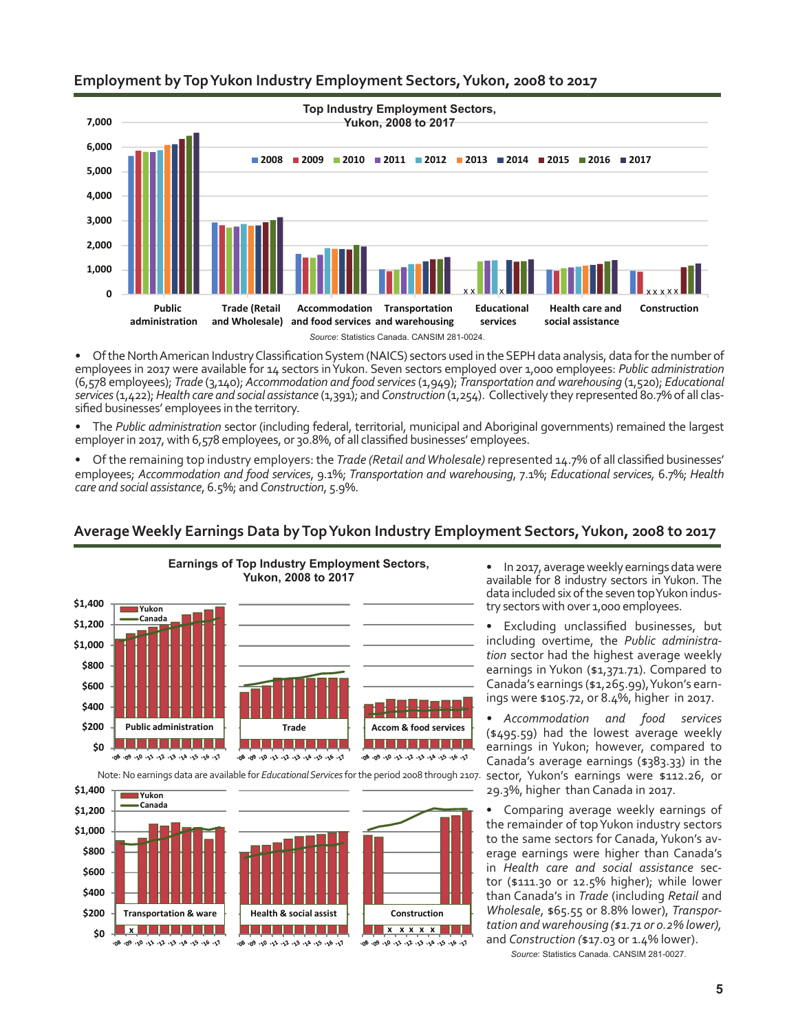### **Employment by Top Yukon Industry Employment Sectors, Yukon, 2008 to 2017**



Of the North American Industry Classification System (NAICS) sectors used in the SEPH data analysis, data for the number of employees in 2017 were available for 14 sectors in Yukon. Seven sectors employed over 1,000 employees: *Public administration* (6,578 employees); *Trade* (3,140); *Accommodation and food services* (1,949); *Transportation and warehousing* (1,520); *Educational services* (1,422); *Health care and social assistance* (1,391); and *Construction* (1,254). Collectively they represented 80.7% of all classified businesses' employees in the territory.

The *Public administration* sector (including federal, territorial, municipal and Aboriginal governments) remained the largest employer in 2017, with 6,578 employees, or 30.8%, of all classified businesses' employees.

• Of the remaining top industry employers: the *Trade (Retail andWholesale)* represented 14.7% of all classified businesses' employees; *Accommodation and food services*, 9.1%; *Transportation and warehousing*, 7.1%; *Educational services,* 6.7%; *Health care and social assistance*, 6.5%; and *Construction*, 5.9%.

# **Average Weekly Earnings Data by Top Yukon Industry Employment Sectors, Yukon, 2008 to 2017**



**Health & social assist Construction**

1 | | | | | | | | | | | |

700 090 090 1200 200 200 090 090

**x x x x x**

De de de Ar Ar Er De de de de Bo

**\$0 \$200 \$400**

**Transportation & ware x**

רציי פלי כלי ישרי כלי עלי ללי לי פלי פסי פסי

• In 2017, average weekly earnings data were available for 8 industry sectors in Yukon. The data included six of the seven top Yukon industry sectors with over 1,000 employees.

Excluding unclassified businesses, but including overtime, the *Public administration* sector had the highest average weekly earnings in Yukon (\$1,371.71). Compared to Canada's earnings (\$1,265.99), Yukon's earnings were \$105.72, or 8.4%, higher in 2017.

*• Accommodation and food services* (\$495.59) had the lowest average weekly earnings in Yukon; however, compared to Canada's average earnings (\$383.33) in the sector, Yukon's earnings were \$112.26, or 29.3%, higher than Canada in 2017.

Comparing average weekly earnings of the remainder of top Yukon industry sectors to the same sectors for Canada, Yukon's average earnings were higher than Canada's in *Health care and social assistance* sector (\$111.30 or 12.5% higher); while lower than Canada's in *Trade* (including *Retail* and *Wholesale*, \$65.55 or 8.8% lower), *Transportation and warehousing (\$1.71 or 0.2% lower),* and *Construction (*\$17.03 or 1.4% lower).

*Source*: Statistics Canada. CANSIM 281-0027.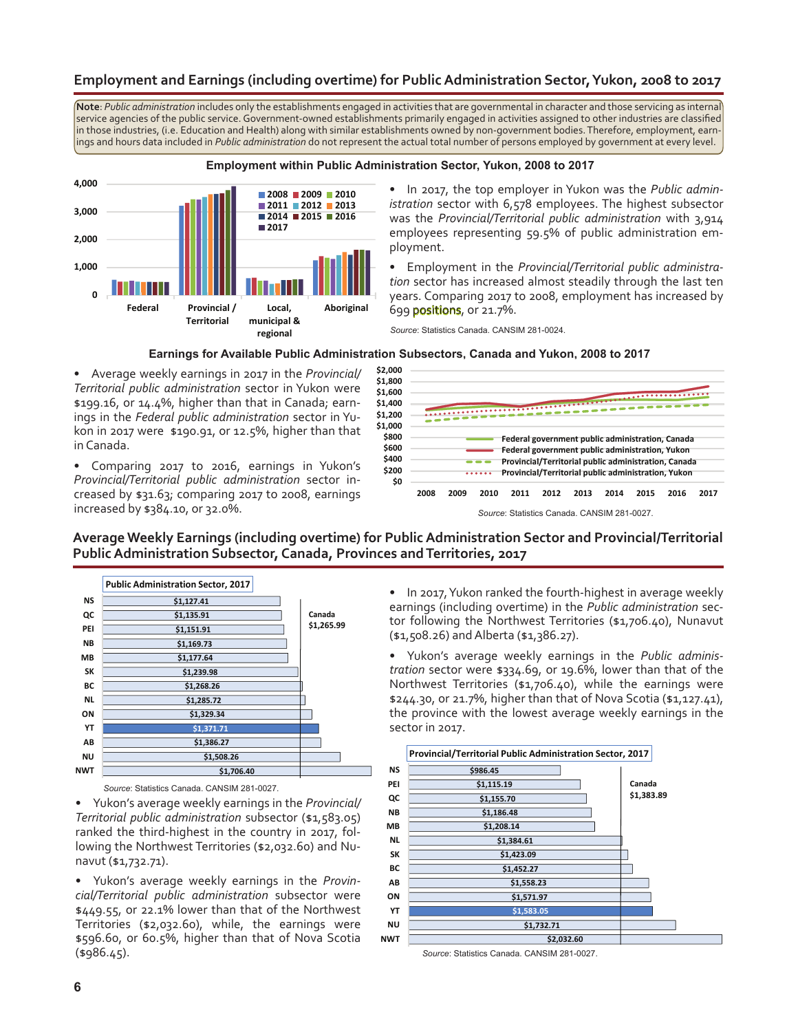### **Employment and Earnings (including overtime) for Public Administration Sector, Yukon, 2008 to 2017**

**Note**: *Public administration* includes only the establishments engaged in activities that are governmental in character and those servicing as internal service agencies of the public service. Government-owned establishments primarily engaged in activities assigned to other industries are classified in those industries, (i.e. Education and Health) along with similar establishments owned by non-government bodies. Therefore, employment, earnings and hours data included in *Public administration* do not represent the actual total number of persons employed by government at every level.



• In 2017, the top employer in Yukon was the *Public administration* sector with 6,578 employees. The highest subsector was the *Provincial/Territorial public administration* with 3,914 employees representing 59.5% of public administration employment.

• Employment in the *Provincial/Territorial public administration* sector has increased almost steadily through the last ten years. Comparing 2017 to 2008, employment has increased by 699 positions, or 21.7%.

*Source*: Statistics Canada. CANSIM 281-0024.

#### **Earnings for Available Public Administration Subsectors, Canada and Yukon, 2008 to 2017**

• Average weekly earnings in 2017 in the *Provincial/ Territorial public administration* sector in Yukon were \$199.16, or 14.4%, higher than that in Canada; earnings in the *Federal public administration* sector in Yukon in 2017 were \$190.91, or 12.5%, higher than that in Canada.

Comparing 2017 to 2016, earnings in Yukon's *Provincial/Territorial public administration* sector increased by \$31.63; comparing 2017 to 2008, earnings increased by \$384.10, or 32.0%.



#### **Average Weekly Earnings (including overtime) for Public Administration Sector and Provincial/Territorial Public Administration Subsector, Canada, Provinces and Territories, 2017**



*Source*: Statistics Canada. CANSIM 281-0027.

• Yukon's average weekly earnings in the *Provincial/ Territorial public administration* subsector (\$1,583.05) ranked the third-highest in the country in 2017, following the Northwest Territories (\$2,032.60) and Nunavut (\$1,732.71).

• Yukon's average weekly earnings in the *Provincial/Territorial public administration* subsector were \$449.55, or 22.1% lower than that of the Northwest Territories (\$2,032.60), while, the earnings were \$596.60, or 60.5%, higher than that of Nova Scotia (\$986.45).

• In 2017, Yukon ranked the fourth-highest in average weekly earnings (including overtime) in the *Public administration* sector following the Northwest Territories (\$1,706.40), Nunavut (\$1,508.26) andAlberta (\$1,386.27).

• Yukon's average weekly earnings in the *Public administration* sector were \$334.69, or 19.6%, lower than that of the Northwest Territories (\$1,706.40), while the earnings were \$244.30, or 21.7%, higher than that of Nova Scotia (\$1,127.41), the province with the lowest average weekly earnings in the sector in 2017.



*Source*: Statistics Canada. CANSIM 281-0027.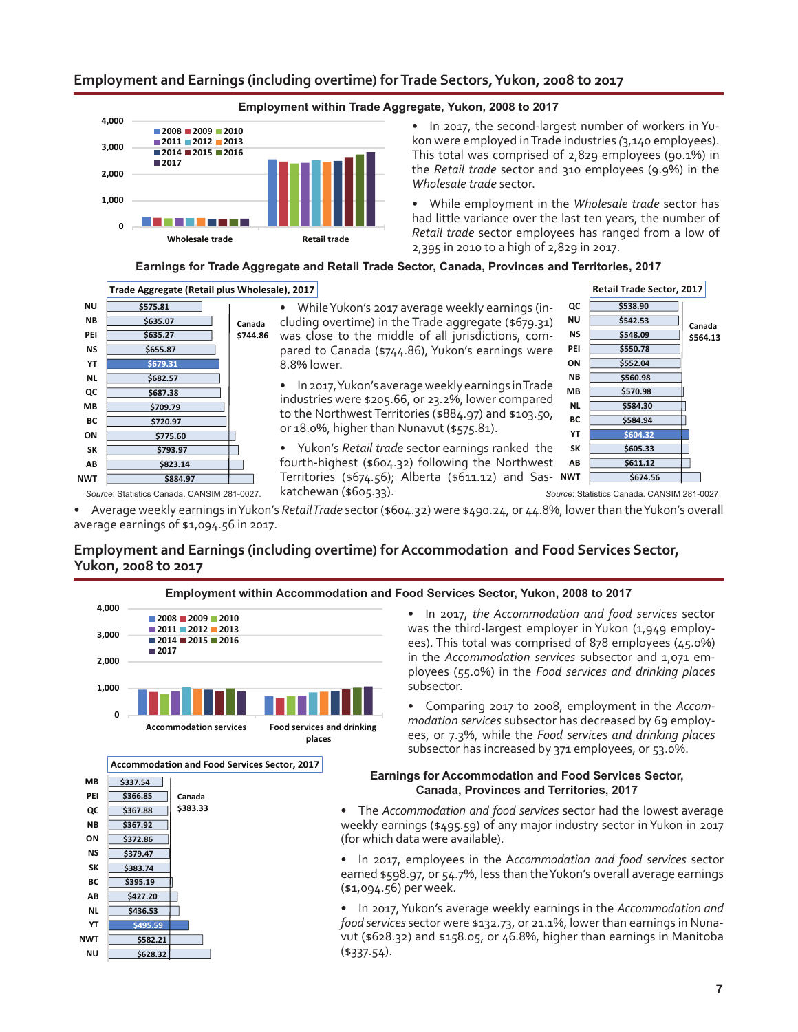#### **Employment and Earnings (including overtime) for Trade Sectors, Yukon, 2008 to 2017**



• In 2017, the second-largest number of workers in Yukon were employed in Trade industries *(*3,140 employees). This total was comprised of 2,829 employees (90.1%) in the *Retail trade* sector and 310 employees (9.9%) in the *Wholesale trade* sector.

• While employment in the *Wholesale trade* sector has had little variance over the last ten years, the number of *Retail trade* sector employees has ranged from a low of 2,395 in 2010 to a high of 2,829 in 2017.

#### **Earnings for Trade Aggregate and Retail Trade Sector, Canada, Provinces and Territories, 2017**



While Yukon's 2017 average weekly earnings (including overtime) in the Trade aggregate (\$679.31) was close to the middle of all jurisdictions, compared to Canada (\$744.86), Yukon's earnings were 8.8% lower.

• In 2017, Yukon's average weekly earnings in Trade industries were \$205.66, or 23.2%, lower compared to the Northwest Territories (\$884.97) and \$103.50, or 18.0%, higher than Nunavut (\$575.81).

• Yukon's *Retail trade* sector earnings ranked the fourth-highest (\$604.32) following the Northwest Territories (\$674.56); Alberta (\$611.12) and Sas-**NWT** katchewan (\$605.33).



Source: Statistics Canada. CANSIM 281-0027. **Katchewan (\$605.33).** Source: Statistics Canada. CANSIM 281-0027.

• Average weekly earnings in Yukon's *RetailTrade* sector (\$604.32) were \$490.24, or 44.8%, lower than theYukon's overall average earnings of \$1,094.56 in 2017.

# **Employment and Earnings (including overtime) for Accommodation and Food Services Sector, Yukon, 2008 to 2017**





• In 2017, *the Accommodation and food services* sector was the third-largest employer in Yukon (1,949 employees). This total was comprised of 878 employees (45.0%) in the *Accommodation services* subsector and 1,071 employees (55.0%) in the *Food services and drinking places* subsector.

• Comparing 2017 to 2008, employment in the *Accommodation services* subsector has decreased by 69 employees, or 7.3%, while the *Food services and drinking places* subsector has increased by 371 employees, or 53.0%.

#### **Earnings for Accommodation and Food Services Sector, Canada, Provinces and Territories, 2017**

The *Accommodation and food services* sector had the lowest average weekly earnings (\$495.59) of any major industry sector in Yukon in 2017 (for which data were available).

• In 2017, employees in the A*ccommodation and food services* sector earned \$598.97, or 54.7%, less than theYukon's overall average earnings (\$1,094.56) per week.

• In 2017, Yukon's average weekly earnings in the *Accommodation and food services* sector were \$132.73, or 21.1%, lower than earnings in Nunavut (\$628.32) and \$158.05, or 46.8%, higher than earnings in Manitoba  $(*337.54).$